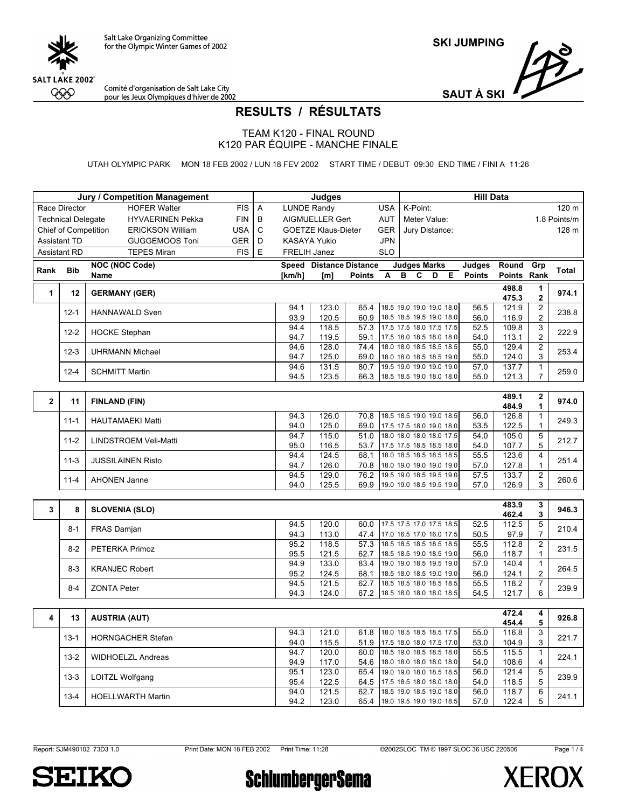

Comité d'organisation de Salt Lake City<br>pour les Jeux Olympiques d'hiver de 2002

**SAUT À SKI**

## **RESULTS / RÉSULTATS**

TEAM K120 - FINAL ROUND K120 PAR ÉQUIPE - MANCHE FINALE

UTAH OLYMPIC PARK MON 18 FEB 2002 / LUN 18 FEV 2002 START TIME / DEBUT 09:30 END TIME / FINI A 11:26

|              |                           | <b>Jury / Competition Management</b> |            |   |                     | Judges                         |                                       |                                                      |   |                          |   |                                                      | <b>Hill Data</b>               |                        |                                  |              |
|--------------|---------------------------|--------------------------------------|------------|---|---------------------|--------------------------------|---------------------------------------|------------------------------------------------------|---|--------------------------|---|------------------------------------------------------|--------------------------------|------------------------|----------------------------------|--------------|
|              | Race Director             | <b>HOFER Walter</b>                  | <b>FIS</b> | Α | <b>LUNDE Randy</b>  |                                |                                       | <b>USA</b>                                           |   | K-Point:                 |   |                                                      |                                |                        |                                  | 120 m        |
|              | <b>Technical Delegate</b> | <b>HYVAERINEN Pekka</b>              | <b>FIN</b> | B |                     | AIGMUELLER Gert                |                                       | AUT                                                  |   | Meter Value:             |   |                                                      |                                |                        |                                  | 1.8 Points/m |
|              | Chief of Competition      | <b>ERICKSON William</b>              | USA        | C |                     | <b>GOETZE Klaus-Dieter</b>     |                                       | <b>GER</b>                                           |   | Jury Distance:           |   |                                                      |                                |                        |                                  | 128 m        |
|              | <b>Assistant TD</b>       | <b>GUGGEMOOS Toni</b>                | <b>GER</b> | D | <b>KASAYA Yukio</b> |                                |                                       | <b>JPN</b>                                           |   |                          |   |                                                      |                                |                        |                                  |              |
|              | <b>Assistant RD</b>       | <b>TEPES Miran</b>                   | <b>FIS</b> | E | FRELIH Janez        |                                |                                       | <b>SLO</b>                                           |   |                          |   |                                                      |                                |                        |                                  |              |
|              |                           |                                      |            |   |                     |                                |                                       |                                                      |   |                          |   |                                                      |                                |                        |                                  |              |
| Rank         | <b>Bib</b>                | <b>NOC (NOC Code)</b><br>Name        |            |   | [km/h]              | Speed Distance Distance<br>[m] | <b>Points</b>                         | A                                                    | в | <b>Judges Marks</b><br>С | D | Е                                                    | <b>Judges</b><br><b>Points</b> | Round<br><b>Points</b> | Grp<br>Rank                      | Total        |
|              |                           |                                      |            |   |                     |                                |                                       |                                                      |   |                          |   |                                                      |                                |                        |                                  |              |
| 1            | 12                        | <b>GERMANY (GER)</b>                 |            |   |                     |                                |                                       |                                                      |   |                          |   |                                                      |                                | 498.8<br>475.3         | $\mathbf{1}$<br>$\overline{2}$   | 974.1        |
|              | $12 - 1$                  | <b>HANNAWALD Sven</b>                |            |   | 94.1<br>93.9        | 123.0<br>120.5                 | 65.4<br>60.9                          |                                                      |   |                          |   | 18.5 19.0 19.0 19.0 18.0<br>18.5 18.5 19.5 19.0 18.0 | 56.5<br>56.0                   | 121.9<br>116.9         | $\overline{c}$<br>$\overline{2}$ | 238.8        |
|              | $12 - 2$                  | <b>HOCKE Stephan</b>                 |            |   | 94.4<br>94.7        | 118.5<br>119.5                 | 57.3 17.5 17.5 18.0 17.5 17.5<br>59.1 | 17.5 18.0 18.5 18.0 18.0                             |   |                          |   |                                                      | 52.5<br>54.0                   | 109.8<br>113.1         | 3<br>$\overline{c}$              | 222.9        |
|              |                           |                                      |            |   | 94.6                | 128.0                          | 74.4                                  | 18.0 18.0 18.5 18.5 18.5                             |   |                          |   |                                                      | 55.0                           | 129.4                  | $\overline{c}$                   |              |
|              | $12 - 3$                  | <b>UHRMANN Michael</b>               |            |   | 94.7                | 125.0                          | 69.0                                  |                                                      |   |                          |   | 18.0 18.0 18.5 18.5 19.0                             | 55.0                           | 124.0                  | 3                                | 253.4        |
|              | $12 - 4$                  | <b>SCHMITT Martin</b>                |            |   | 94.6                | 131.5                          | 80.7                                  |                                                      |   |                          |   | 19.5 19.0 19.0 19.0 19.0                             | 57.0                           | 137.7                  | $\mathbf{1}$                     | 259.0        |
|              |                           |                                      |            |   | 94.5                | 123.5                          | 66.3 18.5 18.5 19.0 18.0 18.0         |                                                      |   |                          |   |                                                      | 55.0                           | 121.3                  | $\overline{7}$                   |              |
|              |                           |                                      |            |   |                     |                                |                                       |                                                      |   |                          |   |                                                      |                                | 489.1                  |                                  |              |
| $\mathbf{2}$ | 11                        | <b>FINLAND (FIN)</b>                 |            |   |                     |                                |                                       |                                                      |   |                          |   |                                                      |                                | 484.9                  | $\mathbf{2}$<br>1                | 974.0        |
|              |                           |                                      |            |   | 94.3                | 126.0                          | 70.8                                  | 18.5 18.5 19.0 19.0 18.5                             |   |                          |   |                                                      | 56.0                           | 126.8                  | $\mathbf{1}$                     |              |
|              | $11 - 1$                  | <b>HAUTAMAEKI Matti</b>              |            |   | 94.0                | 125.0                          | 69.0                                  | 17.5 17.5 18.0 19.0 18.0                             |   |                          |   |                                                      | 53.5                           | 122.5                  | $\mathbf{1}$                     | 249.3        |
|              | $11 - 2$                  | LINDSTROEM Veli-Matti                |            |   | 94.7                | 115.0                          | 51.0 18.0 18.0 18.0 18.0 17.5         |                                                      |   |                          |   |                                                      | 54.0                           | 105.0                  | 5                                | 212.7        |
|              |                           |                                      |            |   | 95.0                | 116.5                          | 53.7 17.5 17.5 18.5 18.5 18.0         |                                                      |   |                          |   |                                                      | 54.0                           | 107.7                  | 5                                |              |
|              | $11-3$                    | <b>JUSSILAINEN Risto</b>             |            |   | 94.4<br>94.7        | 124.5<br>126.0                 | 68.1<br>70.8                          | 18.0 18.5 18.5 18.5 18.5                             |   |                          |   | 18.0 19.0 19.0 19.0 19.0                             | 55.5<br>57.0                   | 123.6<br>127.8         | $\overline{4}$<br>1              | 251.4        |
|              |                           |                                      |            |   | 94.5                | 129.0                          | 76.2 19.5 19.0 18.5 19.5 19.0         |                                                      |   |                          |   |                                                      | 57.5                           | 133.7                  | $\overline{2}$                   |              |
|              | $11 - 4$                  | <b>AHONEN Janne</b>                  |            |   | 94.0                | 125.5                          | 69.9                                  |                                                      |   |                          |   | 19.0 19.0 18.5 19.5 19.0                             | 57.0                           | 126.9                  | 3                                | 260.6        |
|              |                           |                                      |            |   |                     |                                |                                       |                                                      |   |                          |   |                                                      |                                |                        |                                  |              |
| 3            | 8                         | <b>SLOVENIA (SLO)</b>                |            |   |                     |                                |                                       |                                                      |   |                          |   |                                                      |                                | 483.9<br>462.4         | 3<br>3                           | 946.3        |
|              | $8 - 1$                   | FRAS Damjan                          |            |   | 94.5                | 120.0                          | 60.0                                  | 17.5 17.5 17.0 17.5 18.5                             |   |                          |   |                                                      | 52.5                           | 112.5                  | $\overline{5}$                   | 210.4        |
|              |                           |                                      |            |   | 94.3                | 113.0                          | 47.4                                  | 17.0 16.5 17.0 16.0 17.5                             |   |                          |   |                                                      | 50.5                           | 97.9                   | $\overline{7}$                   |              |
|              | $8 - 2$                   | <b>PETERKA Primoz</b>                |            |   | 95.2<br>95.5        | 118.5                          | 57.3<br>62.7                          | 18.5 18.5 18.5 18.5 18.5                             |   |                          |   |                                                      | 55.5                           | 112.8<br>118.7         | $\overline{2}$<br>$\mathbf{1}$   | 231.5        |
|              |                           |                                      |            |   | 94.9                | 121.5<br>133.0                 | 83.4                                  | 18.5 18.5 19.0 18.5 19.0<br>19.0 19.0 18.5 19.5 19.0 |   |                          |   |                                                      | 56.0<br>57.0                   | 140.4                  | $\overline{1}$                   |              |
|              | $8-3$                     | <b>KRANJEC Robert</b>                |            |   | 95.2                | 124.5                          | 68.1                                  |                                                      |   |                          |   | 18.5 18.0 18.5 19.0 19.0                             | 56.0                           | 124.1                  | $\overline{c}$                   | 264.5        |
|              | $8 - 4$                   | <b>ZONTA Peter</b>                   |            |   | 94.5                | 121.5                          | 62.7                                  | 18.5 18.5 18.0 18.5 18.5                             |   |                          |   |                                                      | 55.5                           | 118.2                  | $\overline{7}$                   | 239.9        |
|              |                           |                                      |            |   | 94.3                | 124.0                          | 67.2                                  |                                                      |   |                          |   | 18.5 18.0 18.0 18.0 18.5                             | 54.5                           | 121.7                  | 6                                |              |
|              |                           |                                      |            |   |                     |                                |                                       |                                                      |   |                          |   |                                                      |                                |                        |                                  |              |
| 4            | 13                        | <b>AUSTRIA (AUT)</b>                 |            |   |                     |                                |                                       |                                                      |   |                          |   |                                                      |                                | 472.4<br>454.4         | 4<br>5                           | 926.8        |
|              | $13 - 1$                  | <b>HORNGACHER Stefan</b>             |            |   | 94.3                | 121.0                          | 61.8                                  | 18.0 18.5 18.5 18.5 17.5                             |   |                          |   |                                                      | 55.0                           | 116.8                  | 3                                | 221.7        |
|              |                           |                                      |            |   | 94.0<br>94.7        | 115.5<br>120.0                 | 51.9<br>60.0                          | 17.5 18.0 18.0 17.5 17.0                             |   |                          |   | 18.5 19.0 18.5 18.5 18.0                             | 53.0<br>55.5                   | 104.9<br>115.5         | 3<br>$\mathbf{1}$                |              |
|              | $13 - 2$                  | <b>WIDHOELZL Andreas</b>             |            |   | 94.9                | 117.0                          | 54.6                                  | 18.0 18.0 18.0 18.0 18.0                             |   |                          |   |                                                      | 54.0                           | 108.6                  | 4                                | 224.1        |
|              |                           |                                      |            |   | 95.1                | 123.0                          | 65.4                                  |                                                      |   |                          |   | 19.0 19.0 18.0 18.5 18.5                             | 56.0                           | 121.4                  | $\overline{5}$                   |              |
|              | $13 - 3$                  | LOITZL Wolfgang                      |            |   | 95.4                | 122.5                          | 64.5 17.5 18.5 18.0 18.0 18.0         |                                                      |   |                          |   |                                                      | 54.0                           | 118.5                  | 5                                | 239.9        |
|              | $13 - 4$                  | <b>HOELLWARTH Martin</b>             |            |   | 94.0                | 121.5                          | 62.7                                  | 18.5 19.0 18.5 19.0 18.0                             |   |                          |   |                                                      | 56.0                           | 118.7                  | 6                                | 241.1        |
|              |                           |                                      |            |   | 94.2                | 123.0                          | 65.4 19.0 19.5 19.0 19.0 18.5         |                                                      |   |                          |   |                                                      | 57.0                           | 122.4                  | 5                                |              |

Page 1 / 4



**SchlumbergerSema** 

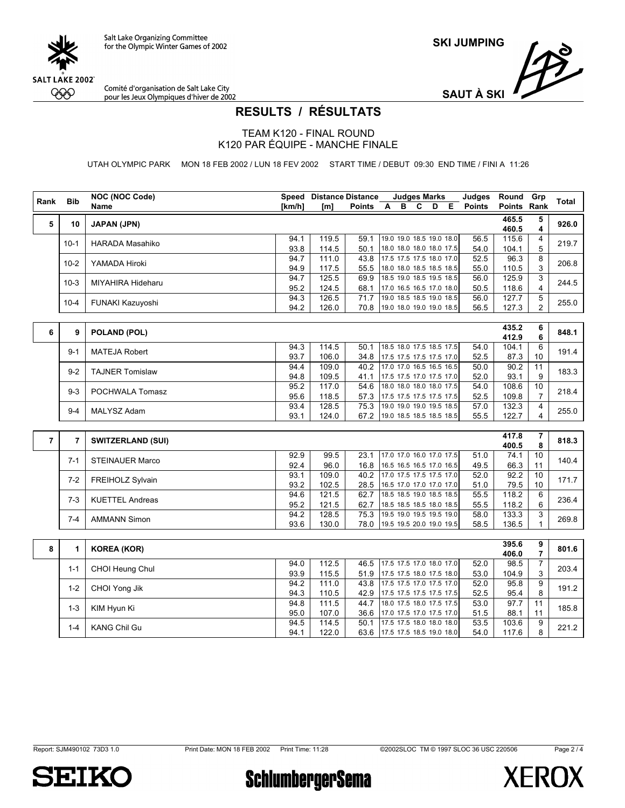

Comité d'organisation de Salt Lake City pour les Jeux Olympiques d'hiver de 2002



## **RESULTS / RÉSULTATS**

TEAM K120 - FINAL ROUND K120 PAR ÉQUIPE - MANCHE FINALE

UTAH OLYMPIC PARK MON 18 FEB 2002 / LUN 18 FEV 2002 START TIME / DEBUT 09:30 END TIME / FINI A 11:26

| Rank<br><b>Bib</b><br>$\overline{A}$<br>B<br>C<br>D<br>E<br><b>Points</b><br>Points Rank<br>Name<br>[km/h]<br>[m]<br><b>Points</b><br>465.5<br>5<br><b>JAPAN (JPN)</b><br>10<br>460.5<br>19.0 19.0 18.5 19.0 18.0<br>94.1<br>119.5<br>115.6<br>59.1<br>56.5<br>$10-1$<br><b>HARADA Masahiko</b><br>18.0 18.0 18.0 18.0 17.5<br>93.8<br>50.1<br>54.0<br>104.1<br>114.5<br>17.5 17.5 17.5 18.0 17.0<br>96.3<br>94.7<br>111.0<br>43.8<br>52.5<br>$10-2$<br>YAMADA Hiroki<br>117.5<br>110.5<br>94.9<br>55.5<br>18.0 18.0 18.5 18.5 18.5<br>55.0<br>18.5 19.0 18.5 19.5 18.5<br>125.5<br>125.9<br>94.7<br>69.9<br>56.0<br>$10-3$<br>MIYAHIRA Hideharu<br>95.2<br>118.6<br>124.5<br>68.1<br>50.5<br>17.0 16.5 16.5 17.0 18.0<br>126.5<br>19.0 18.5 18.5 19.0 18.5<br>127.7<br>94.3<br>71.7<br>56.0<br>FUNAKI Kazuyoshi<br>$10 - 4$<br>94.2<br>126.0<br>70.8 19.0 18.0 19.0 19.0 18.5<br>56.5<br>127.3<br>435.2<br>6<br>9<br>POLAND (POL)<br>412.9<br>104.1<br>94.3<br>114.5<br>18.5 18.0 17.5 18.5 17.5<br>50.1<br>54.0<br>$9 - 1$<br><b>MATEJA Robert</b><br>93.7<br>106.0<br>52.5<br>87.3<br>34.8 17.5 17.5 17.5 17.5 17.0<br>109.0<br>40.2 17.0 17.0 16.5 16.5 16.5<br>90.2<br>94.4<br>50.0<br><b>TAJNER Tomislaw</b><br>$9 - 2$<br>93.1<br>94.8<br>109.5<br>41.1<br>17.5 17.5 17.0 17.5 17.0<br>52.0<br>18.0 18.0 18.0 18.0 17.5<br>108.6<br>95.2<br>117.0<br>54.6<br>54.0 | Total<br>5<br>926.0<br>4<br>4<br>219.7<br>5<br>8<br>206.8<br>3<br>3<br>244.5<br>4<br>5<br>255.0<br>$\overline{2}$<br>6<br>848.1<br>6<br>6<br>191.4<br>10<br>11 |
|--------------------------------------------------------------------------------------------------------------------------------------------------------------------------------------------------------------------------------------------------------------------------------------------------------------------------------------------------------------------------------------------------------------------------------------------------------------------------------------------------------------------------------------------------------------------------------------------------------------------------------------------------------------------------------------------------------------------------------------------------------------------------------------------------------------------------------------------------------------------------------------------------------------------------------------------------------------------------------------------------------------------------------------------------------------------------------------------------------------------------------------------------------------------------------------------------------------------------------------------------------------------------------------------------------------------------------------------------------------------------|----------------------------------------------------------------------------------------------------------------------------------------------------------------|
|                                                                                                                                                                                                                                                                                                                                                                                                                                                                                                                                                                                                                                                                                                                                                                                                                                                                                                                                                                                                                                                                                                                                                                                                                                                                                                                                                                          |                                                                                                                                                                |
|                                                                                                                                                                                                                                                                                                                                                                                                                                                                                                                                                                                                                                                                                                                                                                                                                                                                                                                                                                                                                                                                                                                                                                                                                                                                                                                                                                          |                                                                                                                                                                |
|                                                                                                                                                                                                                                                                                                                                                                                                                                                                                                                                                                                                                                                                                                                                                                                                                                                                                                                                                                                                                                                                                                                                                                                                                                                                                                                                                                          |                                                                                                                                                                |
|                                                                                                                                                                                                                                                                                                                                                                                                                                                                                                                                                                                                                                                                                                                                                                                                                                                                                                                                                                                                                                                                                                                                                                                                                                                                                                                                                                          |                                                                                                                                                                |
|                                                                                                                                                                                                                                                                                                                                                                                                                                                                                                                                                                                                                                                                                                                                                                                                                                                                                                                                                                                                                                                                                                                                                                                                                                                                                                                                                                          |                                                                                                                                                                |
|                                                                                                                                                                                                                                                                                                                                                                                                                                                                                                                                                                                                                                                                                                                                                                                                                                                                                                                                                                                                                                                                                                                                                                                                                                                                                                                                                                          |                                                                                                                                                                |
|                                                                                                                                                                                                                                                                                                                                                                                                                                                                                                                                                                                                                                                                                                                                                                                                                                                                                                                                                                                                                                                                                                                                                                                                                                                                                                                                                                          |                                                                                                                                                                |
|                                                                                                                                                                                                                                                                                                                                                                                                                                                                                                                                                                                                                                                                                                                                                                                                                                                                                                                                                                                                                                                                                                                                                                                                                                                                                                                                                                          |                                                                                                                                                                |
|                                                                                                                                                                                                                                                                                                                                                                                                                                                                                                                                                                                                                                                                                                                                                                                                                                                                                                                                                                                                                                                                                                                                                                                                                                                                                                                                                                          |                                                                                                                                                                |
|                                                                                                                                                                                                                                                                                                                                                                                                                                                                                                                                                                                                                                                                                                                                                                                                                                                                                                                                                                                                                                                                                                                                                                                                                                                                                                                                                                          |                                                                                                                                                                |
|                                                                                                                                                                                                                                                                                                                                                                                                                                                                                                                                                                                                                                                                                                                                                                                                                                                                                                                                                                                                                                                                                                                                                                                                                                                                                                                                                                          |                                                                                                                                                                |
|                                                                                                                                                                                                                                                                                                                                                                                                                                                                                                                                                                                                                                                                                                                                                                                                                                                                                                                                                                                                                                                                                                                                                                                                                                                                                                                                                                          |                                                                                                                                                                |
|                                                                                                                                                                                                                                                                                                                                                                                                                                                                                                                                                                                                                                                                                                                                                                                                                                                                                                                                                                                                                                                                                                                                                                                                                                                                                                                                                                          |                                                                                                                                                                |
|                                                                                                                                                                                                                                                                                                                                                                                                                                                                                                                                                                                                                                                                                                                                                                                                                                                                                                                                                                                                                                                                                                                                                                                                                                                                                                                                                                          | 183.3                                                                                                                                                          |
|                                                                                                                                                                                                                                                                                                                                                                                                                                                                                                                                                                                                                                                                                                                                                                                                                                                                                                                                                                                                                                                                                                                                                                                                                                                                                                                                                                          | 9                                                                                                                                                              |
| $9 - 3$<br>POCHWALA Tomasz<br>57.3 17.5 17.5 17.5 17.5 17.5<br>52.5<br>109.8                                                                                                                                                                                                                                                                                                                                                                                                                                                                                                                                                                                                                                                                                                                                                                                                                                                                                                                                                                                                                                                                                                                                                                                                                                                                                             | 10<br>218.4                                                                                                                                                    |
| 95.6<br>118.5<br>128.5<br>75.3<br>19.0 19.0 19.0 19.5 18.5<br>57.0<br>132.3<br>93.4                                                                                                                                                                                                                                                                                                                                                                                                                                                                                                                                                                                                                                                                                                                                                                                                                                                                                                                                                                                                                                                                                                                                                                                                                                                                                      | $\overline{7}$<br>4                                                                                                                                            |
| $9 - 4$<br>MALYSZ Adam<br>122.7<br>93.1<br>124.0<br>67.2 19.0 18.5 18.5 18.5 18.5<br>55.5                                                                                                                                                                                                                                                                                                                                                                                                                                                                                                                                                                                                                                                                                                                                                                                                                                                                                                                                                                                                                                                                                                                                                                                                                                                                                | 255.0<br>4                                                                                                                                                     |
|                                                                                                                                                                                                                                                                                                                                                                                                                                                                                                                                                                                                                                                                                                                                                                                                                                                                                                                                                                                                                                                                                                                                                                                                                                                                                                                                                                          |                                                                                                                                                                |
| 417.8<br>$\overline{7}$                                                                                                                                                                                                                                                                                                                                                                                                                                                                                                                                                                                                                                                                                                                                                                                                                                                                                                                                                                                                                                                                                                                                                                                                                                                                                                                                                  | 7                                                                                                                                                              |
| $\overline{7}$<br><b>SWITZERLAND (SUI)</b><br>400.5                                                                                                                                                                                                                                                                                                                                                                                                                                                                                                                                                                                                                                                                                                                                                                                                                                                                                                                                                                                                                                                                                                                                                                                                                                                                                                                      | 818.3<br>8                                                                                                                                                     |
| 17.0 17.0 16.0 17.0 17.5<br>74.1<br>92.9<br>99.5<br>23.1<br>51.0<br><b>STEINAUER Marco</b><br>$7 - 1$                                                                                                                                                                                                                                                                                                                                                                                                                                                                                                                                                                                                                                                                                                                                                                                                                                                                                                                                                                                                                                                                                                                                                                                                                                                                    | 10<br>140.4                                                                                                                                                    |
| 92.4<br>96.0<br>16.8<br>16.5 16.5 16.5 17.0 16.5<br>49.5<br>66.3                                                                                                                                                                                                                                                                                                                                                                                                                                                                                                                                                                                                                                                                                                                                                                                                                                                                                                                                                                                                                                                                                                                                                                                                                                                                                                         | 11                                                                                                                                                             |
| 92.2<br>109.0<br>40.2 17.0 17.5 17.5 17.5 17.0<br>52.0<br>93.1<br>$7 - 2$<br><b>FREIHOLZ Sylvain</b>                                                                                                                                                                                                                                                                                                                                                                                                                                                                                                                                                                                                                                                                                                                                                                                                                                                                                                                                                                                                                                                                                                                                                                                                                                                                     | 10<br>171.7                                                                                                                                                    |
| 93.2<br>102.5<br>79.5<br>28.5 16.5 17.0 17.0 17.0 17.0<br>51.0                                                                                                                                                                                                                                                                                                                                                                                                                                                                                                                                                                                                                                                                                                                                                                                                                                                                                                                                                                                                                                                                                                                                                                                                                                                                                                           | 10                                                                                                                                                             |
| 18.5 18.5 19.0 18.5 18.5<br>118.2<br>94.6<br>121.5<br>62.7<br>55.5<br>$7 - 3$<br><b>KUETTEL Andreas</b><br>121.5<br>118.2<br>95.2<br>62.7<br>18.5 18.5 18.5 18.0 18.5<br>55.5                                                                                                                                                                                                                                                                                                                                                                                                                                                                                                                                                                                                                                                                                                                                                                                                                                                                                                                                                                                                                                                                                                                                                                                            | 6<br>236.4<br>6                                                                                                                                                |
| 128.5<br>75.3 19.5 19.0 19.5 19.5 19.0<br>133.3<br>94.2<br>58.0                                                                                                                                                                                                                                                                                                                                                                                                                                                                                                                                                                                                                                                                                                                                                                                                                                                                                                                                                                                                                                                                                                                                                                                                                                                                                                          | 3                                                                                                                                                              |
| $7 - 4$<br><b>AMMANN Simon</b><br>93.6<br>130.0<br>78.0 19.5 19.5 20.0 19.0 19.5<br>58.5<br>136.5                                                                                                                                                                                                                                                                                                                                                                                                                                                                                                                                                                                                                                                                                                                                                                                                                                                                                                                                                                                                                                                                                                                                                                                                                                                                        | 269.8<br>1                                                                                                                                                     |
|                                                                                                                                                                                                                                                                                                                                                                                                                                                                                                                                                                                                                                                                                                                                                                                                                                                                                                                                                                                                                                                                                                                                                                                                                                                                                                                                                                          |                                                                                                                                                                |
| 395.6                                                                                                                                                                                                                                                                                                                                                                                                                                                                                                                                                                                                                                                                                                                                                                                                                                                                                                                                                                                                                                                                                                                                                                                                                                                                                                                                                                    | 9<br>801.6                                                                                                                                                     |
| 8<br><b>KOREA (KOR)</b><br>1<br>406.0                                                                                                                                                                                                                                                                                                                                                                                                                                                                                                                                                                                                                                                                                                                                                                                                                                                                                                                                                                                                                                                                                                                                                                                                                                                                                                                                    | 7                                                                                                                                                              |
| 112.5<br>46.5 17.5 17.5 17.0 18.0 17.0<br>98.5<br>94.0<br>52.0<br>CHOI Heung Chul<br>$1 - 1$                                                                                                                                                                                                                                                                                                                                                                                                                                                                                                                                                                                                                                                                                                                                                                                                                                                                                                                                                                                                                                                                                                                                                                                                                                                                             | $\overline{7}$<br>203.4                                                                                                                                        |
| 93.9<br>115.5<br>53.0<br>51.9 17.5 17.5 18.0 17.5 18.0<br>104.9                                                                                                                                                                                                                                                                                                                                                                                                                                                                                                                                                                                                                                                                                                                                                                                                                                                                                                                                                                                                                                                                                                                                                                                                                                                                                                          | 3                                                                                                                                                              |
| 111.0<br>43.8 17.5 17.5 17.0 17.5 17.0<br>94.2<br>52.0<br>95.8<br>$1 - 2$<br>CHOI Yong Jik                                                                                                                                                                                                                                                                                                                                                                                                                                                                                                                                                                                                                                                                                                                                                                                                                                                                                                                                                                                                                                                                                                                                                                                                                                                                               | 9<br>191.2                                                                                                                                                     |
| 110.5<br>52.5<br>94.3<br>42.9 17.5 17.5 17.5 17.5 17.5<br>95.4<br>18.0 17.5 18.0 17.5 17.5                                                                                                                                                                                                                                                                                                                                                                                                                                                                                                                                                                                                                                                                                                                                                                                                                                                                                                                                                                                                                                                                                                                                                                                                                                                                               | 8                                                                                                                                                              |
| 94.8<br>111.5<br>97.7<br>44.7<br>53.0<br>$1 - 3$<br>KIM Hyun Ki<br>107.0<br>36.6 17.0 17.5 17.0 17.5 17.0<br>88.1<br>95.0<br>51.5                                                                                                                                                                                                                                                                                                                                                                                                                                                                                                                                                                                                                                                                                                                                                                                                                                                                                                                                                                                                                                                                                                                                                                                                                                        | 11<br>185.8<br>11                                                                                                                                              |
| 50.1 17.5 17.5 18.0 18.0 18.0<br>94.5<br>53.5<br>103.6<br>114.5<br>1/1110001100                                                                                                                                                                                                                                                                                                                                                                                                                                                                                                                                                                                                                                                                                                                                                                                                                                                                                                                                                                                                                                                                                                                                                                                                                                                                                          | 9<br>0.202                                                                                                                                                     |



**SchlumbergerSema** 

1-4 KANG Chil Gu 80.1 114.5 122.0 63.6 17.5 17.5 18.5 19.0 18.0 18.0 18.0 53.5 103.6 | 9<br>8 | 94.1 | 122.0 | 63.6 17.5 17.5 18.5 19.0 18.0 | 54.0 | 117.6 | 8



221.2

Page 2 / 4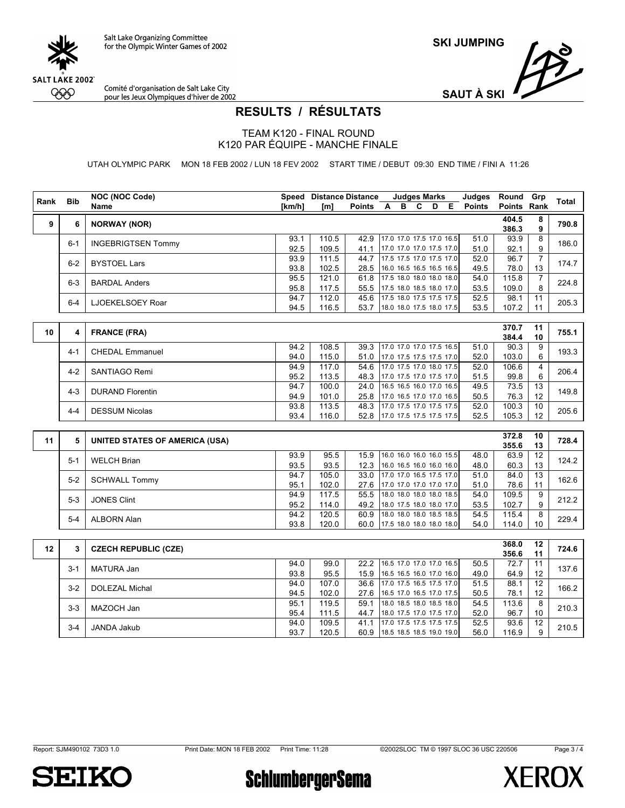

Comité d'organisation de Salt Lake City<br>pour les Jeux Olympiques d'hiver de 2002



## **RESULTS / RÉSULTATS**

TEAM K120 - FINAL ROUND K120 PAR ÉQUIPE - MANCHE FINALE

UTAH OLYMPIC PARK MON 18 FEB 2002 / LUN 18 FEV 2002 START TIME / DEBUT 09:30 END TIME / FINI A 11:26

| Rank | <b>Bib</b>   | <b>NOC (NOC Code)</b>                 |              | <b>Speed Distance Distance</b> |                                       |                | <b>Judges Marks</b>      |     |     | Judges        | Round Grp      |                 | Total |
|------|--------------|---------------------------------------|--------------|--------------------------------|---------------------------------------|----------------|--------------------------|-----|-----|---------------|----------------|-----------------|-------|
|      |              | <b>Name</b>                           | [km/h]       | [ml]                           | <b>Points</b>                         | $\blacksquare$ |                          | B C | D E | <b>Points</b> | Points Rank    |                 |       |
| 9    | 6            | <b>NORWAY (NOR)</b>                   |              |                                |                                       |                |                          |     |     |               | 404.5          | 8               | 790.8 |
|      |              |                                       |              |                                |                                       |                |                          |     |     |               | 386.3          | 9               |       |
|      | $6 - 1$      | <b>INGEBRIGTSEN Tommy</b>             | 93.1         | 110.5                          | 42.9                                  |                | 17.0 17.0 17.5 17.0 16.5 |     |     | 51.0          | 93.9           | 8               | 186.0 |
|      |              |                                       | 92.5         | 109.5                          | 41.1                                  |                | 17.0 17.0 17.0 17.5 17.0 |     |     | 51.0          | 92.1           | 9               |       |
|      | $6 - 2$      | <b>BYSTOEL Lars</b>                   | 93.9         | 111.5                          | 44.7 17.5 17.5 17.0 17.5 17.0         |                |                          |     |     | 52.0          | 96.7           | $\overline{7}$  | 174.7 |
|      |              |                                       | 93.8         | 102.5                          | 28.5                                  |                | 16.0 16.5 16.5 16.5 16.5 |     |     | 49.5          | 78.0           | 13              |       |
|      | $6-3$        | <b>BARDAL Anders</b>                  | 95.5         | 121.0                          | 61.8                                  |                | 17.5 18.0 18.0 18.0 18.0 |     |     | 54.0          | 115.8          | $\overline{7}$  | 224.8 |
|      |              |                                       | 95.8         | 117.5                          | 55.5                                  |                | 17.5 18.0 18.5 18.0 17.0 |     |     | 53.5          | 109.0          | 8               |       |
|      | $6 - 4$      | LJOEKELSOEY Roar                      | 94.7         | 112.0                          | 45.6                                  |                | 17.5 18.0 17.5 17.5 17.5 |     |     | 52.5          | 98.1           | 11              | 205.3 |
|      |              |                                       | 94.5         | 116.5                          | 53.7                                  |                | 18.0 18.0 17.5 18.0 17.5 |     |     | 53.5          | 107.2          | 11              |       |
|      |              |                                       |              |                                |                                       |                |                          |     |     |               | 370.7          | 11              |       |
| 10   | 4            | <b>FRANCE (FRA)</b>                   |              |                                |                                       |                |                          |     |     |               | 384.4          | 10              | 755.1 |
|      |              |                                       | 94.2         | 108.5                          | 39.3 17.0 17.0 17.0 17.5 16.5         |                |                          |     |     | 51.0          | 90.3           | 9               |       |
|      | $4 - 1$      | <b>CHEDAL Emmanuel</b>                | 94.0         | 115.0                          | 51.0 17.0 17.5 17.5 17.5 17.0         |                |                          |     |     | 52.0          | 103.0          | 6               | 193.3 |
|      |              |                                       | 94.9         | 117.0                          | 54.6 17.0 17.5 17.0 18.0 17.5         |                |                          |     |     | 52.0          | 106.6          | 4               |       |
|      | $4 - 2$      | SANTIAGO Remi                         | 95.2         | 113.5                          | 48.3                                  |                | 17.0 17.5 17.0 17.5 17.0 |     |     | 51.5          | 99.8           | 6               | 206.4 |
|      |              |                                       | 94.7         | 100.0                          | 24.0                                  |                | 16.5 16.5 16.0 17.0 16.5 |     |     | 49.5          | 73.5           | 13              |       |
|      | $4 - 3$      | <b>DURAND Florentin</b>               | 94.9         | 101.0                          | 25.8                                  |                | 17.0 16.5 17.0 17.0 16.5 |     |     | 50.5          | 76.3           | 12              | 149.8 |
|      |              | <b>DESSUM Nicolas</b>                 | 93.8         | 113.5                          | 48.3 17.0 17.5 17.0 17.5 17.5         |                |                          |     |     | 52.0          | 100.3          | 10              | 205.6 |
|      | $4 - 4$      |                                       | 93.4         | 116.0                          | 52.8 17.0 17.5 17.5 17.5 17.5         |                |                          |     |     | 52.5          | 105.3          | 12              |       |
|      |              |                                       |              |                                |                                       |                |                          |     |     |               |                |                 |       |
| 11   | 5            | <b>UNITED STATES OF AMERICA (USA)</b> |              |                                |                                       |                |                          |     |     |               | 372.8          | 10              | 728.4 |
|      |              |                                       |              |                                |                                       |                |                          |     |     |               | 355.6          | 13              |       |
|      | $5 - 1$      | <b>WELCH Brian</b>                    | 93.9         | 95.5                           | 15.9                                  |                | 16.0 16.0 16.0 16.0 15.5 |     |     | 48.0          | 63.9           | 12              | 124.2 |
|      |              |                                       | 93.5         | 93.5                           | 12.3                                  |                | 16.0 16.5 16.0 16.0 16.0 |     |     | 48.0          | 60.3           | 13              |       |
|      | $5-2$        | <b>SCHWALL Tommy</b>                  | 94.7         | 105.0                          | 33.0 17.0 17.0 16.5 17.5 17.0         |                |                          |     |     | 51.0          | 84.0           | $\overline{13}$ | 162.6 |
|      |              |                                       | 95.1         | 102.0                          | 27.6                                  |                | 17.0 17.0 17.0 17.0 17.0 |     |     | 51.0          | 78.6           | 11              |       |
|      | $5-3$        | <b>JONES Clint</b>                    | 94.9         | 117.5                          | 55.5                                  |                | 18.0 18.0 18.0 18.0 18.5 |     |     | 54.0          | 109.5          | 9               | 212.2 |
|      |              |                                       | 95.2         | 114.0                          | 49.2<br>60.9 18.0 18.0 18.0 18.5 18.5 |                | 18.0 17.5 18.0 18.0 17.0 |     |     | 53.5          | 102.7          | 9<br>8          |       |
|      | $5 - 4$      | <b>ALBORN Alan</b>                    | 94.2<br>93.8 | 120.5                          |                                       |                |                          |     |     | 54.5<br>54.0  | 115.4<br>114.0 | 10              | 229.4 |
|      |              |                                       |              | 120.0                          | 60.0 17.5 18.0 18.0 18.0 18.0         |                |                          |     |     |               |                |                 |       |
|      |              |                                       |              |                                |                                       |                |                          |     |     |               | 368.0          | 12              |       |
| 12   | $\mathbf{3}$ | <b>CZECH REPUBLIC (CZE)</b>           |              |                                |                                       |                |                          |     |     |               | 356.6          | 11              | 724.6 |
|      |              |                                       | 0.10         | $\Omega$ $\Omega$ $\Omega$     | $222$ $165$ $170$ $170$ $170$ $165$   |                |                          |     |     | $E \cap E$    | $727$ 14       |                 |       |

| 12 | 3       | <b>CZECH REPUBLIC (CZE)</b> |      |       |      |                               |      |       |    | 724.6 |
|----|---------|-----------------------------|------|-------|------|-------------------------------|------|-------|----|-------|
|    |         |                             |      |       |      |                               |      | 356.6 | 11 |       |
|    | $3 - 1$ | MATURA Jan                  | 94.0 | 99.0  |      | 22.2 16.5 17.0 17.0 17.0 16.5 | 50.5 | 72.7  |    | 137.6 |
|    |         |                             | 93.8 | 95.5  | 15.9 | 16.5 16.5 16.0 17.0 16.0      | 49.0 | 64.9  |    |       |
|    | $3-2$   | DOLEZAL Michal              | 94.0 | 107.0 |      | 36.6 17.0 17.5 16.5 17.5 17.0 | 51.5 | 88.1  | 12 | 166.2 |
|    |         |                             | 94.5 | 102.0 |      | 27.6 16.5 17.0 16.5 17.0 17.5 | 50.5 | 78.1  |    |       |
|    | $3-3$   |                             | 95.1 | 119.5 | 59 1 | 18.0 18.5 18.0 18.5 18.0      | 54.5 | 113.6 | 8  | 210.3 |
|    |         | MAZOCH Jan                  | 95.4 | 111.5 | 44.7 | 18.0 17.5 17.0 17.5 17.0      | 52.0 | 96.7  | 10 |       |
|    | $3 - 4$ |                             | 94.0 | 109.5 | 411  | 17.0 17.5 17.5 17.5 17.5      | 52.5 | 93.6  | 12 | 210.5 |
|    |         | JANDA Jakub                 | 93.7 | 120.5 | 60.9 | 18.5 18.5 18.5 19.0 19.0      | 56.0 | 116.9 |    |       |
|    |         |                             |      |       |      |                               |      |       |    |       |



**SchlumbergerSema** 

Page 3 / 4